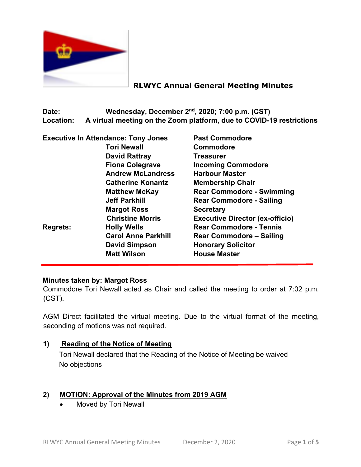

# **RLWYC Annual General Meeting Minutes**

**Date: Wednesday, December 2nd, 2020; 7:00 p.m. (CST) Location: A virtual meeting on the Zoom platform, due to COVID-19 restrictions**

| <b>Executive In Attendance: Tony Jones</b> | <b>Past Commodore</b>                  |
|--------------------------------------------|----------------------------------------|
| <b>Tori Newall</b>                         | <b>Commodore</b>                       |
| <b>David Rattray</b>                       | <b>Treasurer</b>                       |
| <b>Fiona Colegrave</b>                     | <b>Incoming Commodore</b>              |
| <b>Andrew McLandress</b>                   | <b>Harbour Master</b>                  |
| <b>Catherine Konantz</b>                   | <b>Membership Chair</b>                |
| <b>Matthew McKay</b>                       | <b>Rear Commodore - Swimming</b>       |
| <b>Jeff Parkhill</b>                       | <b>Rear Commodore - Sailing</b>        |
| <b>Margot Ross</b>                         | <b>Secretary</b>                       |
| <b>Christine Morris</b>                    | <b>Executive Director (ex-officio)</b> |
| <b>Holly Wells</b>                         | <b>Rear Commodore - Tennis</b>         |
| <b>Carol Anne Parkhill</b>                 | <b>Rear Commodore - Sailing</b>        |
| <b>David Simpson</b>                       | <b>Honorary Solicitor</b>              |
| <b>Matt Wilson</b>                         | <b>House Master</b>                    |
|                                            |                                        |

### **Minutes taken by: Margot Ross**

Commodore Tori Newall acted as Chair and called the meeting to order at 7:02 p.m. (CST).

AGM Direct facilitated the virtual meeting. Due to the virtual format of the meeting, seconding of motions was not required.

#### **1) Reading of the Notice of Meeting**

Tori Newall declared that the Reading of the Notice of Meeting be waived No objections

# **2) MOTION: Approval of the Minutes from 2019 AGM**

• Moved by Tori Newall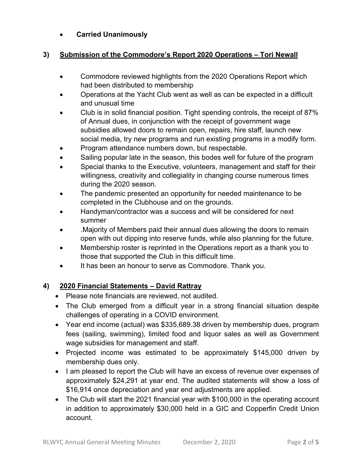### • **Carried Unanimously**

#### **3) Submission of the Commodore's Report 2020 Operations – Tori Newall**

- Commodore reviewed highlights from the 2020 Operations Report which had been distributed to membership
- Operations at the Yacht Club went as well as can be expected in a difficult and unusual time
- Club is in solid financial position. Tight spending controls, the receipt of 87% of Annual dues, in conjunction with the receipt of government wage subsidies allowed doors to remain open, repairs, hire staff, launch new social media, try new programs and run existing programs in a modify form.
- Program attendance numbers down, but respectable.
- Sailing popular late in the season, this bodes well for future of the program
- Special thanks to the Executive, volunteers, management and staff for their willingness, creativity and collegiality in changing course numerous times during the 2020 season.
- The pandemic presented an opportunity for needed maintenance to be completed in the Clubhouse and on the grounds.
- Handyman/contractor was a success and will be considered for next summer
- .Majority of Members paid their annual dues allowing the doors to remain open with out dipping into reserve funds, while also planning for the future.
- Membership roster is reprinted in the Operations report as a thank you to those that supported the Club in this difficult time.
- It has been an honour to serve as Commodore. Thank you.

#### **4) 2020 Financial Statements – David Rattray**

- Please note financials are reviewed, not audited.
- The Club emerged from a difficult year in a strong financial situation despite challenges of operating in a COVID environment.
- Year end income (actual) was \$335,689.38 driven by membership dues, program fees (sailing, swimming), limited food and liquor sales as well as Government wage subsidies for management and staff.
- Projected income was estimated to be approximately \$145,000 driven by membership dues only.
- I am pleased to report the Club will have an excess of revenue over expenses of approximately \$24,291 at year end. The audited statements will show a loss of \$16,914 once depreciation and year end adjustments are applied.
- The Club will start the 2021 financial year with \$100,000 in the operating account in addition to approximately \$30,000 held in a GIC and Copperfin Credit Union account.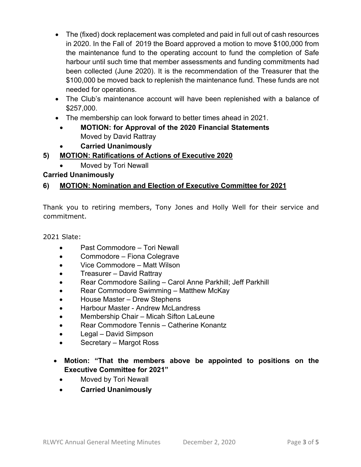- The (fixed) dock replacement was completed and paid in full out of cash resources in 2020. In the Fall of 2019 the Board approved a motion to move \$100,000 from the maintenance fund to the operating account to fund the completion of Safe harbour until such time that member assessments and funding commitments had been collected (June 2020). It is the recommendation of the Treasurer that the \$100,000 be moved back to replenish the maintenance fund. These funds are not needed for operations.
- The Club's maintenance account will have been replenished with a balance of \$257,000.
- The membership can look forward to better times ahead in 2021.
	- **MOTION: for Approval of the 2020 Financial Statements** Moved by David Rattray
- **Carried Unanimously**

# **5) MOTION: Ratifications of Actions of Executive 2020**

• Moved by Tori Newall

### **Carried Unanimously**

# **6) MOTION: Nomination and Election of Executive Committee for 2021**

Thank you to retiring members, Tony Jones and Holly Well for their service and commitment.

2021 Slate:

- Past Commodore Tori Newall
- Commodore Fiona Colegrave
- Vice Commodore Matt Wilson
- Treasurer David Rattray
- Rear Commodore Sailing Carol Anne Parkhill; Jeff Parkhill
- Rear Commodore Swimming Matthew McKay
- House Master Drew Stephens
- Harbour Master Andrew McLandress
- Membership Chair Micah Sifton LaLeune
- Rear Commodore Tennis Catherine Konantz
- Legal David Simpson
- Secretary Margot Ross
- **Motion: "That the members above be appointed to positions on the Executive Committee for 2021"**
	- Moved by Tori Newall
	- **Carried Unanimously**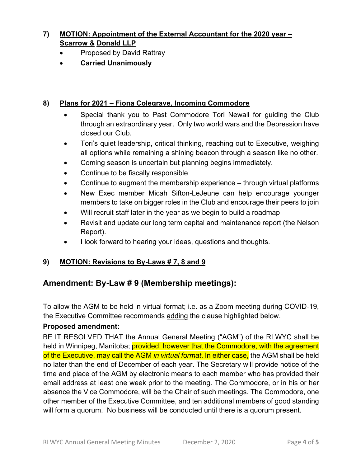# **7) MOTION: Appointment of the External Accountant for the 2020 year – Scarrow & Donald LLP**

- Proposed by David Rattray
- **Carried Unanimously**

### **8) Plans for 2021 – Fiona Colegrave, Incoming Commodore**

- Special thank you to Past Commodore Tori Newall for guiding the Club through an extraordinary year. Only two world wars and the Depression have closed our Club.
- Tori's quiet leadership, critical thinking, reaching out to Executive, weighing all options while remaining a shining beacon through a season like no other.
- Coming season is uncertain but planning begins immediately.
- Continue to be fiscally responsible
- Continue to augment the membership experience through virtual platforms
- New Exec member Micah Sifton-LeJeune can help encourage younger members to take on bigger roles in the Club and encourage their peers to join
- Will recruit staff later in the year as we begin to build a roadmap
- Revisit and update our long term capital and maintenance report (the Nelson Report).
- I look forward to hearing your ideas, questions and thoughts.

### **9) MOTION: Revisions to By-Laws # 7, 8 and 9**

# **Amendment: By-Law # 9 (Membership meetings):**

To allow the AGM to be held in virtual format; i.e. as a Zoom meeting during COVID-19, the Executive Committee recommends adding the clause highlighted below.

#### **Proposed amendment:**

BE IT RESOLVED THAT the Annual General Meeting ("AGM") of the RLWYC shall be held in Winnipeg, Manitoba; **provided, however that the Commodore, with the agreement** of the Executive, may call the AGM *in virtual format*. In either case, the AGM shall be held no later than the end of December of each year. The Secretary will provide notice of the time and place of the AGM by electronic means to each member who has provided their email address at least one week prior to the meeting. The Commodore, or in his or her absence the Vice Commodore, will be the Chair of such meetings. The Commodore, one other member of the Executive Committee, and ten additional members of good standing will form a quorum. No business will be conducted until there is a quorum present.